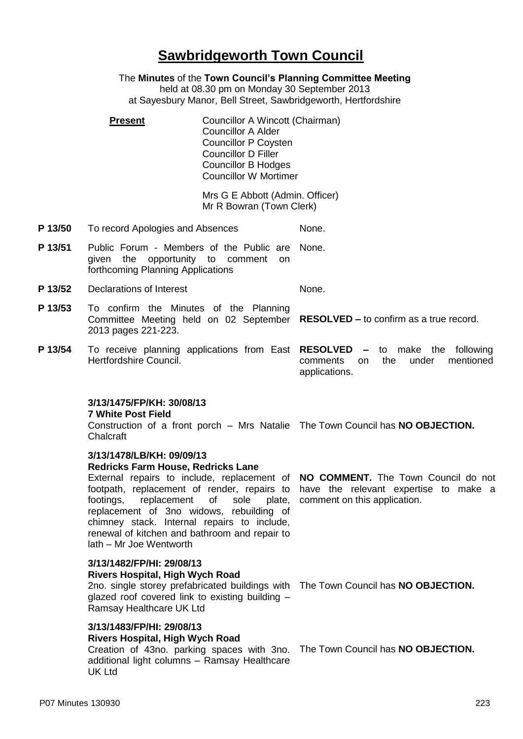## **Sawbridgeworth Town Council**

The **Minutes** of the **Town Council's Planning Committee Meeting**

held at 08.30 pm on Monday 30 September 2013 at Sayesbury Manor, Bell Street, Sawbridgeworth, Hertfordshire

**Present Councillor A Wincott (Chairman)** Councillor A Alder Councillor P Coysten Councillor D Filler Councillor B Hodges Councillor W Mortimer

> Mrs G E Abbott (Admin. Officer) Mr R Bowran (Town Clerk)

- **P 13/50** To record Apologies and Absences None.
- **P 13/51** Public Forum Members of the Public are None. given the opportunity to comment on forthcoming Planning Applications
- **P 13/52** Declarations of Interest None.
- **P 13/53** To confirm the Minutes of the Planning Committee Meeting held on 02 September **RESOLVED –** to confirm as a true record. 2013 pages 221-223.
- **P 13/54** To receive planning applications from East **RESOLVED –** to make the following Hertfordshire Council. comments on the under mentioned applications.

### **3/13/1475/FP/KH: 30/08/13**

#### **7 White Post Field**

Construction of a front porch – Mrs Natalie The Town Council has **NO OBJECTION.** Chalcraft

#### **3/13/1478/LB/KH: 09/09/13**

#### **Redricks Farm House, Redricks Lane**

External repairs to include, replacement of **NO COMMENT.** The Town Council do not footpath, replacement of render, repairs to have the relevant expertise to make a footings, replacement of sole replacement of 3no widows, rebuilding of chimney stack. Internal repairs to include, renewal of kitchen and bathroom and repair to lath – Mr Joe Wentworth

#### **3/13/1482/FP/HI: 29/08/13 Rivers Hospital, High Wych Road**

2no. single storey prefabricated buildings with The Town Council has **NO OBJECTION.** glazed roof covered link to existing building – Ramsay Healthcare UK Ltd

# **3/13/1483/FP/HI: 29/08/13**

## **Rivers Hospital, High Wych Road**

Creation of 43no. parking spaces with 3no. The Town Council has **NO OBJECTION.**additional light columns – Ramsay Healthcare UK Ltd

plate, comment on this application.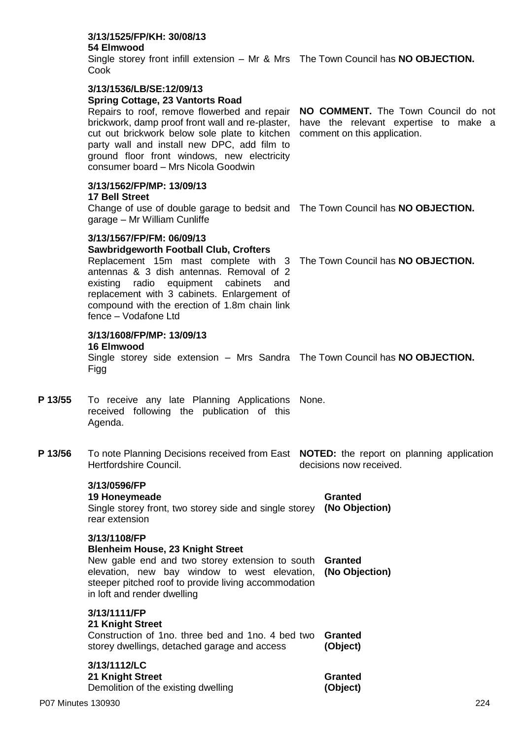|                    | <b>Spring Cottage, 23 Vantorts Road</b><br>Repairs to roof, remove flowerbed and repair NO COMMENT. The Town Council do not<br>brickwork, damp proof front wall and re-plaster,<br>cut out brickwork below sole plate to kitchen<br>party wall and install new DPC, add film to<br>ground floor front windows, new electricity<br>consumer board - Mrs Nicola Goodwin |                           | have the relevant expertise to make a<br>comment on this application. |
|--------------------|-----------------------------------------------------------------------------------------------------------------------------------------------------------------------------------------------------------------------------------------------------------------------------------------------------------------------------------------------------------------------|---------------------------|-----------------------------------------------------------------------|
|                    | 3/13/1562/FP/MP: 13/09/13<br><b>17 Bell Street</b><br>Change of use of double garage to bedsit and The Town Council has <b>NO OBJECTION.</b><br>garage - Mr William Cunliffe                                                                                                                                                                                          |                           |                                                                       |
|                    | 3/13/1567/FP/FM: 06/09/13<br><b>Sawbridgeworth Football Club, Crofters</b><br>Replacement 15m mast complete with 3 The Town Council has NO OBJECTION.<br>antennas & 3 dish antennas. Removal of 2<br>existing radio equipment cabinets<br>and<br>replacement with 3 cabinets. Enlargement of<br>compound with the erection of 1.8m chain link<br>fence - Vodafone Ltd |                           |                                                                       |
|                    | 3/13/1608/FP/MP: 13/09/13<br>16 Elmwood<br>Single storey side extension - Mrs Sandra The Town Council has NO OBJECTION.<br>Figg                                                                                                                                                                                                                                       |                           |                                                                       |
| P 13/55            | To receive any late Planning Applications None.<br>received following the publication of this<br>Agenda.                                                                                                                                                                                                                                                              |                           |                                                                       |
| P 13/56            | To note Planning Decisions received from East NOTED: the report on planning application<br>Hertfordshire Council.<br>decisions now received.                                                                                                                                                                                                                          |                           |                                                                       |
|                    | 3/13/0596/FP<br>19 Honeymeade<br>Single storey front, two storey side and single storey (No Objection)<br>rear extension                                                                                                                                                                                                                                              |                           | <b>Granted</b>                                                        |
|                    | 3/13/1108/FP<br><b>Blenheim House, 23 Knight Street</b><br>New gable end and two storey extension to south<br>elevation, new bay window to west elevation,<br>steeper pitched roof to provide living accommodation<br>in loft and render dwelling                                                                                                                     | Granted<br>(No Objection) |                                                                       |
|                    | 3/13/1111/FP<br>21 Knight Street<br>Construction of 1 no. three bed and 1 no. 4 bed two<br>storey dwellings, detached garage and access                                                                                                                                                                                                                               |                           | <b>Granted</b><br>(Object)                                            |
|                    | 3/13/1112/LC<br>21 Knight Street<br>Demolition of the existing dwelling                                                                                                                                                                                                                                                                                               |                           | Granted<br>(Object)                                                   |
| P07 Minutes 130930 |                                                                                                                                                                                                                                                                                                                                                                       |                           | 224                                                                   |

Single storey front infill extension – Mr & Mrs The Town Council has **NO OBJECTION.**

**3/13/1525/FP/KH: 30/08/13**

**3/13/1536/LB/SE:12/09/13**

**54 Elmwood**

Cook